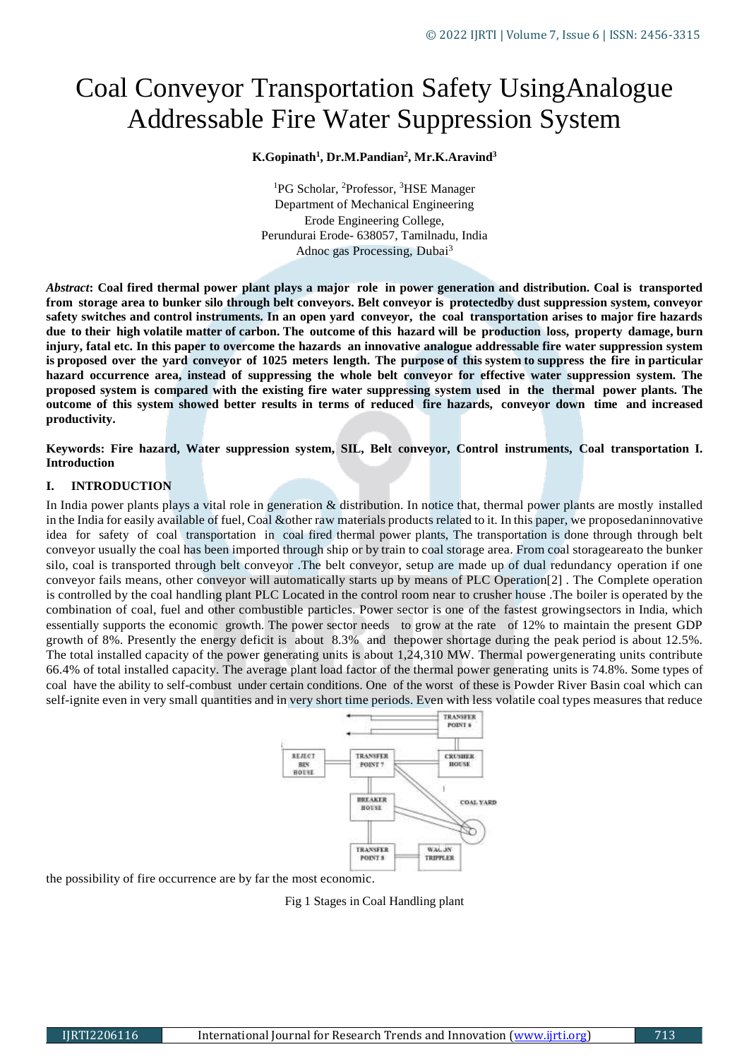# Coal Conveyor Transportation Safety UsingAnalogue Addressable Fire Water Suppression System

#### **K.Gopinath<sup>1</sup> , Dr.M.Pandian<sup>2</sup> , Mr.K.Aravind<sup>3</sup>**

<sup>1</sup>PG Scholar, <sup>2</sup>Professor, <sup>3</sup>HSE Manager Department of Mechanical Engineering Erode Engineering College, Perundurai Erode- 638057, Tamilnadu, India Adnoc gas Processing, Dubai<sup>3</sup>

*Abstract***: Coal fired thermal power plant plays a major role in power generation and distribution. Coal is transported from storage area to bunker silo through belt conveyors. Belt conveyor is protectedby dust suppression system, conveyor safety switches and control instruments. In an open yard conveyor, the coal transportation arises to major fire hazards due to their high volatile matter of carbon. The outcome of this hazard will be production loss, property damage, burn injury, fatal etc. In this paper to overcome the hazards an innovative analogue addressable fire water suppression system**  is proposed over the yard conveyor of 1025 meters length. The purpose of this system to suppress the fire in particular **hazard occurrence area, instead of suppressing the whole belt conveyor for effective water suppression system. The proposed system is compared with the existing fire water suppressing system used in the thermal power plants. The outcome of this system showed better results in terms of reduced fire hazards, conveyor down time and increased productivity.**

**Keywords: Fire hazard, Water suppression system, SIL, Belt conveyor, Control instruments, Coal transportation I. Introduction**

## **I. INTRODUCTION**

In India power plants plays a vital role in generation & distribution. In notice that, thermal power plants are mostly installed in the India for easily available of fuel, Coal &other raw materials products related to it. In this paper, we proposedaninnovative idea for safety of coal transportation in coal fired thermal power plants, The transportation is done through through belt conveyor usually the coal has been imported through ship or by train to coal storage area. From coal storageareato the bunker silo, coal is transported through belt conveyor .The belt conveyor, setup are made up of dual redundancy operation if one conveyor fails means, other conveyor will automatically starts up by means of PLC Operation[2] . The Complete operation is controlled by the coal handling plant PLC Located in the control room near to crusher house .The boiler is operated by the combination of coal, fuel and other combustible particles. Power sector is one of the fastest growingsectors in India, which essentially supports the economic growth. The power sector needs to grow at the rate of 12% to maintain the present GDP growth of 8%. Presently the energy deficit is about 8.3% and thepower shortage during the peak period is about 12.5%. The total installed capacity of the power generating units is about 1,24,310 MW. Thermal powergenerating units contribute 66.4% of total installed capacity. The average plant load factor of the thermal power generating units is 74.8%. Some types of coal have the ability to self-combust under certain conditions. One of the worst of these is Powder River Basin coal which can self-ignite even in very small quantities and in very short time periods. Even with less volatile coal types measures that reduce



the possibility of fire occurrence are by far the most economic.

Fig 1 Stages in Coal Handling plant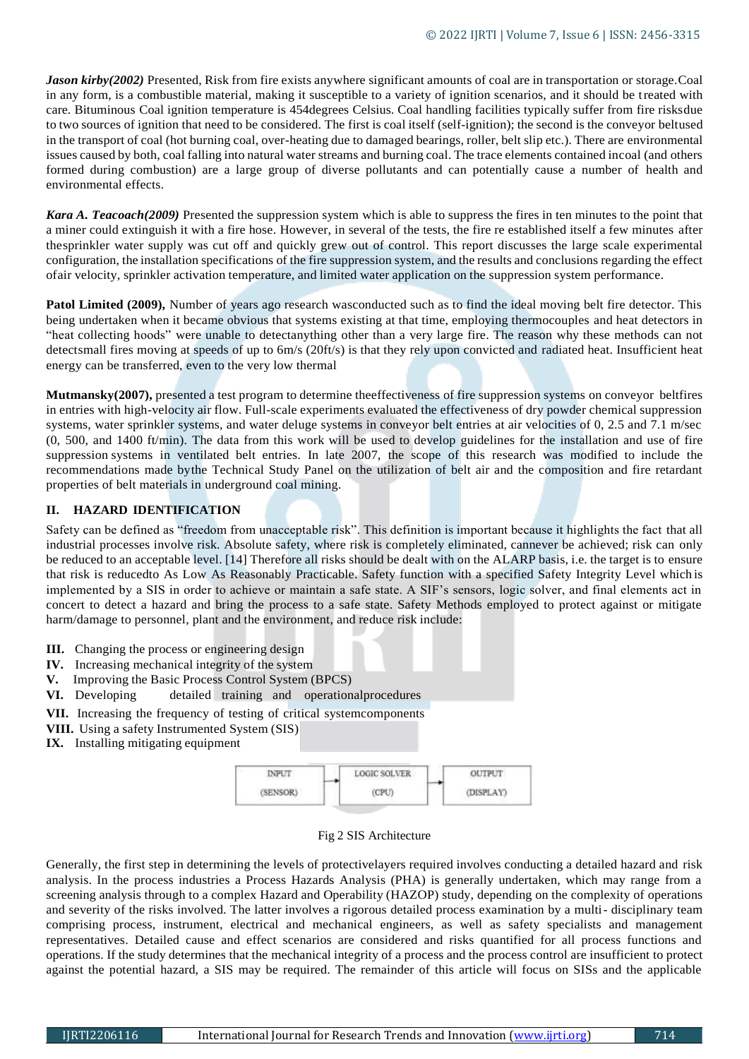*Jason kirby(2002)* Presented, Risk from fire exists anywhere significant amounts of coal are in transportation or storage.Coal in any form, is a combustible material, making it susceptible to a variety of ignition scenarios, and it should be treated with care. Bituminous Coal ignition temperature is 454degrees Celsius. Coal handling facilities typically suffer from fire risksdue to two sources of ignition that need to be considered. The first is coal itself (self-ignition); the second is the conveyor beltused in the transport of coal (hot burning coal, over-heating due to damaged bearings, roller, belt slip etc.). There are environmental issues caused by both, coal falling into natural water streams and burning coal. The trace elements contained incoal (and others formed during combustion) are a large group of diverse pollutants and can potentially cause a number of health and environmental effects.

*Kara A. Teacoach(2009)* Presented the suppression system which is able to suppress the fires in ten minutes to the point that a miner could extinguish it with a fire hose. However, in several of the tests, the fire re established itself a few minutes after thesprinkler water supply was cut off and quickly grew out of control. This report discusses the large scale experimental configuration, the installation specifications of the fire suppression system, and the results and conclusions regarding the effect ofair velocity, sprinkler activation temperature, and limited water application on the suppression system performance.

**Patol Limited (2009),** Number of years ago research was conducted such as to find the ideal moving belt fire detector. This being undertaken when it became obvious that systems existing at that time, employing thermocouples and heat detectors in "heat collecting hoods" were unable to detectanything other than a very large fire. The reason why these methods can not detectsmall fires moving at speeds of up to 6m/s (20ft/s) is that they rely upon convicted and radiated heat. Insufficient heat energy can be transferred, even to the very low thermal

**Mutmansky(2007),** presented a test program to determine theeffectiveness of fire suppression systems on conveyor beltfires in entries with high-velocity air flow. Full-scale experiments evaluated the effectiveness of dry powder chemical suppression systems, water sprinkler systems, and water deluge systems in conveyor belt entries at air velocities of 0, 2.5 and 7.1 m/sec (0, 500, and 1400 ft/min). The data from this work will be used to develop guidelines for the installation and use of fire suppression systems in ventilated belt entries. In late 2007, the scope of this research was modified to include the recommendations made bythe Technical Study Panel on the utilization of belt air and the composition and fire retardant properties of belt materials in underground coal mining.

# **II. HAZARD IDENTIFICATION**

Safety can be defined as "freedom from unacceptable risk". This definition is important because it highlights the fact that all industrial processes involve risk. Absolute safety, where risk is completely eliminated, cannever be achieved; risk can only be reduced to an acceptable level. [14] Therefore all risks should be dealt with on the ALARP basis, i.e. the target is to ensure that risk is reducedto As Low As Reasonably Practicable. Safety function with a specified Safety Integrity Level which is implemented by a SIS in order to achieve or maintain a safe state. A SIF's sensors, logic solver, and final elements act in concert to detect a hazard and bring the process to a safe state. Safety Methods employed to protect against or mitigate harm/damage to personnel, plant and the environment, and reduce risk include:

- **III.** Changing the process or engineering design
- **IV.** Increasing mechanical integrity of the system
- **V.** Improving the Basic Process Control System (BPCS)
- **VI.** Developing detailed training and operationalprocedures
- **VII.** Increasing the frequency of testing of critical systemcomponents
- **VIII.** Using a safety Instrumented System (SIS)
- **IX.** Installing mitigating equipment



## Fig 2 SIS Architecture

Generally, the first step in determining the levels of protectivelayers required involves conducting a detailed hazard and risk analysis. In the process industries a Process Hazards Analysis (PHA) is generally undertaken, which may range from a screening analysis through to a complex Hazard and Operability (HAZOP) study, depending on the complexity of operations and severity of the risks involved. The latter involves a rigorous detailed process examination by a multi- disciplinary team comprising process, instrument, electrical and mechanical engineers, as well as safety specialists and management representatives. Detailed cause and effect scenarios are considered and risks quantified for all process functions and operations. If the study determines that the mechanical integrity of a process and the process control are insufficient to protect against the potential hazard, a SIS may be required. The remainder of this article will focus on SISs and the applicable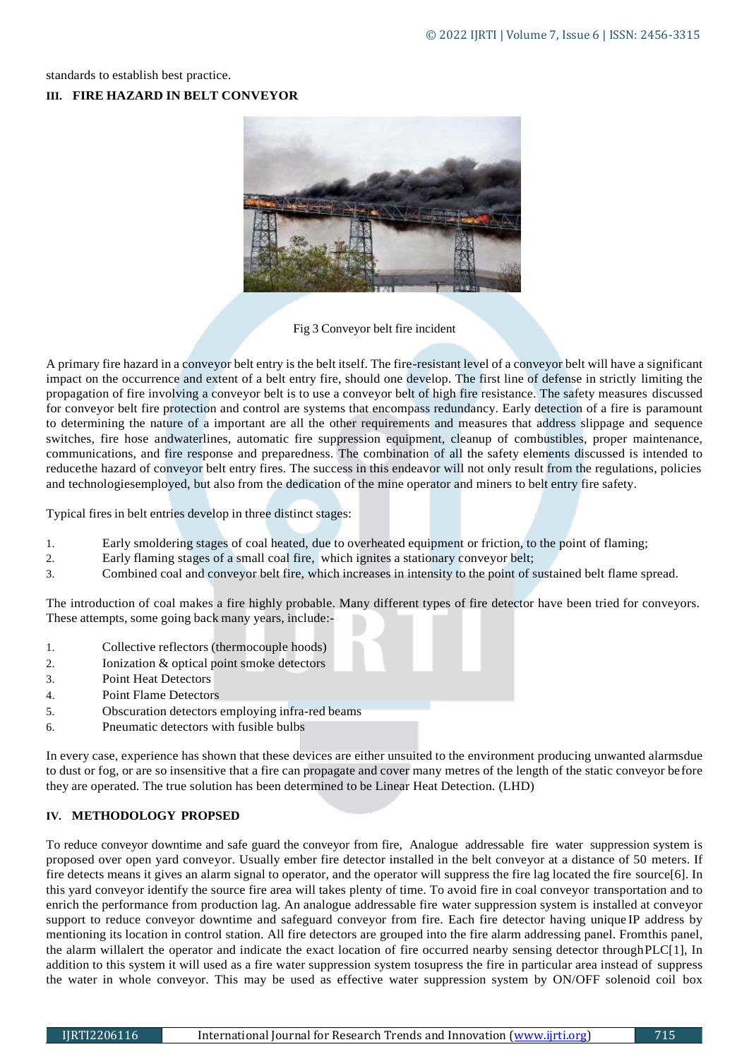standards to establish best practice.

## **III. FIRE HAZARD IN BELT CONVEYOR**



Fig 3 Conveyor belt fire incident

A primary fire hazard in a conveyor belt entry is the belt itself. The fire-resistant level of a conveyor belt will have a significant impact on the occurrence and extent of a belt entry fire, should one develop. The first line of defense in strictly limiting the propagation of fire involving a conveyor belt is to use a conveyor belt of high fire resistance. The safety measures discussed for conveyor belt fire protection and control are systems that encompass redundancy. Early detection of a fire is paramount to determining the nature of a important are all the other requirements and measures that address slippage and sequence switches, fire hose andwaterlines, automatic fire suppression equipment, cleanup of combustibles, proper maintenance, communications, and fire response and preparedness. The combination of all the safety elements discussed is intended to reducethe hazard of conveyor belt entry fires. The success in this endeavor will not only result from the regulations, policies and technologiesemployed, but also from the dedication of the mine operator and miners to belt entry fire safety.

Typical fires in belt entries develop in three distinct stages:

- 1. Early smoldering stages of coal heated, due to overheated equipment or friction, to the point of flaming;
- 2. Early flaming stages of a small coal fire, which ignites a stationary conveyor belt;
- 3. Combined coal and conveyor belt fire, which increases in intensity to the point of sustained belt flame spread.

The introduction of coal makes a fire highly probable. Many different types of fire detector have been tried for conveyors. These attempts, some going back many years, include:-

- 1. Collective reflectors (thermocouple hoods)
- 2. Ionization & optical point smoke detectors
- 3. Point Heat Detectors
- 4. Point Flame Detectors
- 5. Obscuration detectors employing infra-red beams
- 6. Pneumatic detectors with fusible bulbs

In every case, experience has shown that these devices are either unsuited to the environment producing unwanted alarmsdue to dust or fog, or are so insensitive that a fire can propagate and cover many metres of the length of the static conveyor before they are operated. The true solution has been determined to be Linear Heat Detection. (LHD)

# **IV. METHODOLOGY PROPSED**

To reduce conveyor downtime and safe guard the conveyor from fire, Analogue addressable fire water suppression system is proposed over open yard conveyor. Usually ember fire detector installed in the belt conveyor at a distance of 50 meters. If fire detects means it gives an alarm signal to operator, and the operator will suppress the fire lag located the fire source[6]. In this yard conveyor identify the source fire area will takes plenty of time. To avoid fire in coal conveyor transportation and to enrich the performance from production lag. An analogue addressable fire water suppression system is installed at conveyor support to reduce conveyor downtime and safeguard conveyor from fire. Each fire detector having unique IP address by mentioning its location in control station. All fire detectors are grouped into the fire alarm addressing panel. Fromthis panel, the alarm willalert the operator and indicate the exact location of fire occurred nearby sensing detector throughPLC[1], In addition to this system it will used as a fire water suppression system tosupress the fire in particular area instead of suppress the water in whole conveyor. This may be used as effective water suppression system by ON/OFF solenoid coil box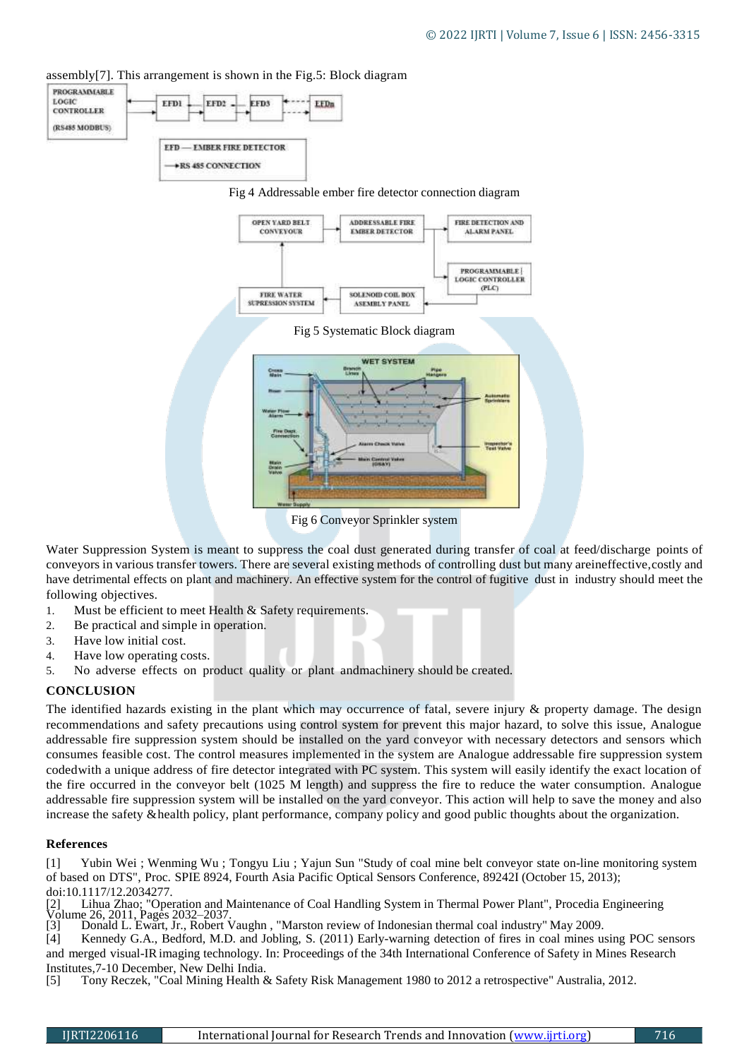

EFDa

assembly[7]. This arrangement is shown in the Fig.5: Block diagram

EFDS

FFD2

EEDI

Fig 6 Conveyor Sprinkler system

Water Suppression System is meant to suppress the coal dust generated during transfer of coal at feed/discharge points of conveyors in various transfer towers. There are several existing methods of controlling dust but many areineffective,costly and have detrimental effects on plant and machinery. An effective system for the control of fugitive dust in industry should meet the following objectives.

- 1. Must be efficient to meet Health & Safety requirements.
- 2. Be practical and simple in operation.
- 3. Have low initial cost.
- 4. Have low operating costs.
- 5. No adverse effects on product quality or plant andmachinery should be created.

#### **CONCLUSION**

**PROGRAMMABLE** LOGIC

**CONTROLLER** (RS485 MODBUS)

The identified hazards existing in the plant which may occurrence of fatal, severe injury & property damage. The design recommendations and safety precautions using control system for prevent this major hazard, to solve this issue, Analogue addressable fire suppression system should be installed on the yard conveyor with necessary detectors and sensors which consumes feasible cost. The control measures implemented in the system are Analogue addressable fire suppression system codedwith a unique address of fire detector integrated with PC system. This system will easily identify the exact location of the fire occurred in the conveyor belt (1025 M length) and suppress the fire to reduce the water consumption. Analogue addressable fire suppression system will be installed on the yard conveyor. This action will help to save the money and also increase the safety &health policy, plant performance, company policy and good public thoughts about the organization.

#### **References**

[1] Yubin Wei ; Wenming Wu ; Tongyu Liu ; Yajun Sun "Study of coal mine belt conveyor state on-line monitoring system of based on DTS", Proc. SPIE 8924, Fourth Asia Pacific Optical Sensors Conference, 89242I (October 15, 2013); doi:10.1117/12.2034277.

[2] Lihua Zhao; "Operation and Maintenance of Coal Handling System in Thermal Power Plant", Procedia Engineering Volume 26, 2011, Pages 2032–2037.

[3] Donald L. Ewart, Jr., Robert Vaughn , "Marston review of Indonesian thermal coal industry" May 2009.

[4] Kennedy G.A., Bedford, M.D. and Jobling, S. (2011) Early-warning detection of fires in coal mines using POC sensors and merged visual-IRimaging technology. In: Proceedings of the 34th International Conference of Safety in Mines Research Institutes, 7-10 December, New Delhi India.<br>[5] Tony Reczek, "Coal Mining Health &

[5] Tony Reczek, "Coal Mining Health & Safety Risk Management 1980 to 2012 a retrospective" Australia, 2012.